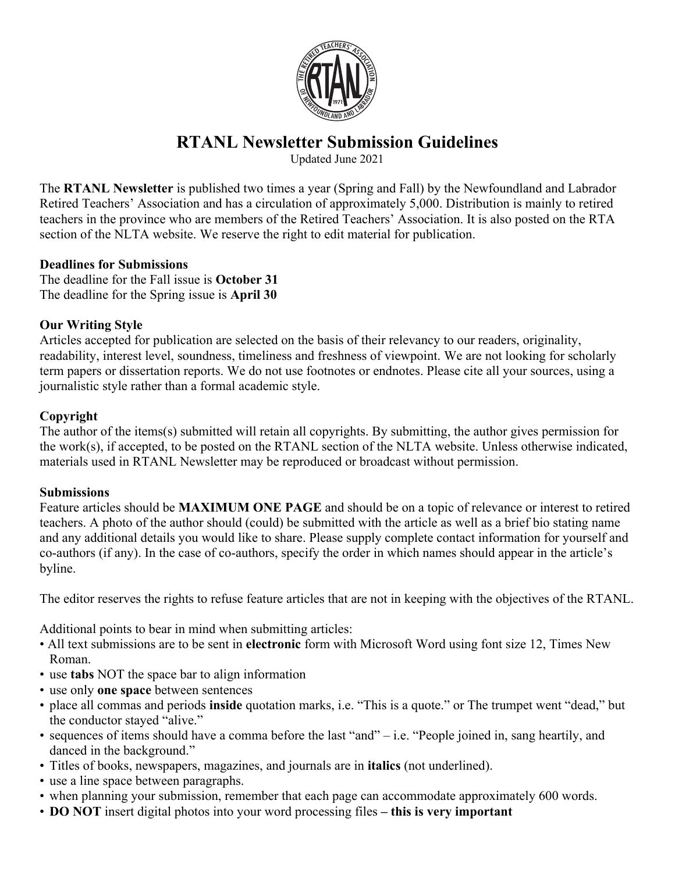

# **RTANL Newsletter Submission Guidelines**

Updated June 2021

The **RTANL Newsletter** is published two times a year (Spring and Fall) by the Newfoundland and Labrador Retired Teachers' Association and has a circulation of approximately 5,000. Distribution is mainly to retired teachers in the province who are members of the Retired Teachers' Association. It is also posted on the RTA section of the NLTA website. We reserve the right to edit material for publication.

## **Deadlines for Submissions**

The deadline for the Fall issue is **October 31** The deadline for the Spring issue is **April 30**

## **Our Writing Style**

Articles accepted for publication are selected on the basis of their relevancy to our readers, originality, readability, interest level, soundness, timeliness and freshness of viewpoint. We are not looking for scholarly term papers or dissertation reports. We do not use footnotes or endnotes. Please cite all your sources, using a journalistic style rather than a formal academic style.

## **Copyright**

The author of the items(s) submitted will retain all copyrights. By submitting, the author gives permission for the work(s), if accepted, to be posted on the RTANL section of the NLTA website. Unless otherwise indicated, materials used in RTANL Newsletter may be reproduced or broadcast without permission.

#### **Submissions**

Feature articles should be **MAXIMUM ONE PAGE** and should be on a topic of relevance or interest to retired teachers. A photo of the author should (could) be submitted with the article as well as a brief bio stating name and any additional details you would like to share. Please supply complete contact information for yourself and co-authors (if any). In the case of co-authors, specify the order in which names should appear in the article's byline.

The editor reserves the rights to refuse feature articles that are not in keeping with the objectives of the RTANL.

Additional points to bear in mind when submitting articles:

- All text submissions are to be sent in **electronic** form with Microsoft Word using font size 12, Times New Roman.
- use **tabs** NOT the space bar to align information
- use only **one space** between sentences
- place all commas and periods **inside** quotation marks, i.e. "This is a quote." or The trumpet went "dead," but the conductor stayed "alive."
- sequences of items should have a comma before the last "and" i.e. "People joined in, sang heartily, and danced in the background."
- Titles of books, newspapers, magazines, and journals are in **italics** (not underlined).
- use a line space between paragraphs.
- when planning your submission, remember that each page can accommodate approximately 600 words.
- **DO NOT** insert digital photos into your word processing files **– this is very important**